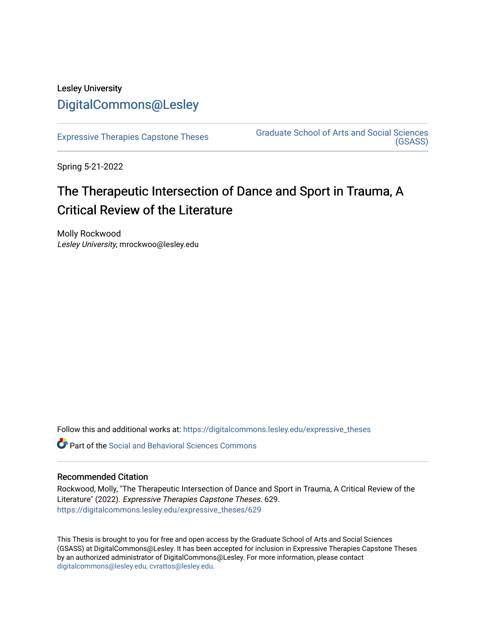## Lesley University [DigitalCommons@Lesley](https://digitalcommons.lesley.edu/)

[Expressive Therapies Capstone Theses](https://digitalcommons.lesley.edu/expressive_theses) Graduate School of Arts and Social Sciences [\(GSASS\)](https://digitalcommons.lesley.edu/gsass) 

Spring 5-21-2022

# The Therapeutic Intersection of Dance and Sport in Trauma, A Critical Review of the Literature

Molly Rockwood Lesley University, mrockwoo@lesley.edu

Follow this and additional works at: [https://digitalcommons.lesley.edu/expressive\\_theses](https://digitalcommons.lesley.edu/expressive_theses?utm_source=digitalcommons.lesley.edu%2Fexpressive_theses%2F629&utm_medium=PDF&utm_campaign=PDFCoverPages)

Part of the [Social and Behavioral Sciences Commons](http://network.bepress.com/hgg/discipline/316?utm_source=digitalcommons.lesley.edu%2Fexpressive_theses%2F629&utm_medium=PDF&utm_campaign=PDFCoverPages) 

### Recommended Citation

Rockwood, Molly, "The Therapeutic Intersection of Dance and Sport in Trauma, A Critical Review of the Literature" (2022). Expressive Therapies Capstone Theses. 629. [https://digitalcommons.lesley.edu/expressive\\_theses/629](https://digitalcommons.lesley.edu/expressive_theses/629?utm_source=digitalcommons.lesley.edu%2Fexpressive_theses%2F629&utm_medium=PDF&utm_campaign=PDFCoverPages)

This Thesis is brought to you for free and open access by the Graduate School of Arts and Social Sciences (GSASS) at DigitalCommons@Lesley. It has been accepted for inclusion in Expressive Therapies Capstone Theses by an authorized administrator of DigitalCommons@Lesley. For more information, please contact [digitalcommons@lesley.edu, cvrattos@lesley.edu](mailto:digitalcommons@lesley.edu,%20cvrattos@lesley.edu).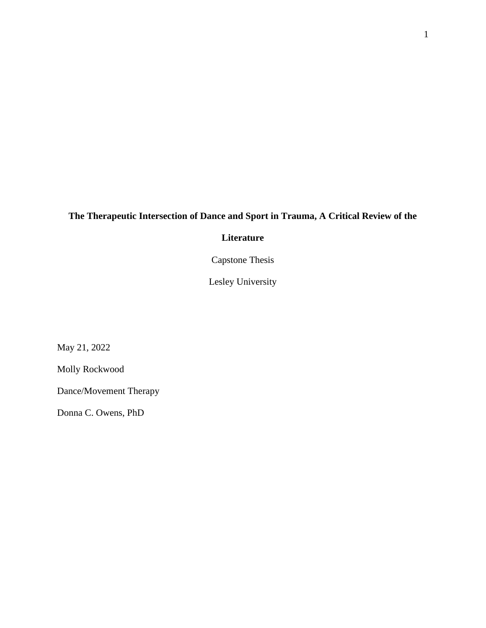## **The Therapeutic Intersection of Dance and Sport in Trauma, A Critical Review of the**

### **Literature**

Capstone Thesis

Lesley University

May 21, 2022

Molly Rockwood

Dance/Movement Therapy

Donna C. Owens, PhD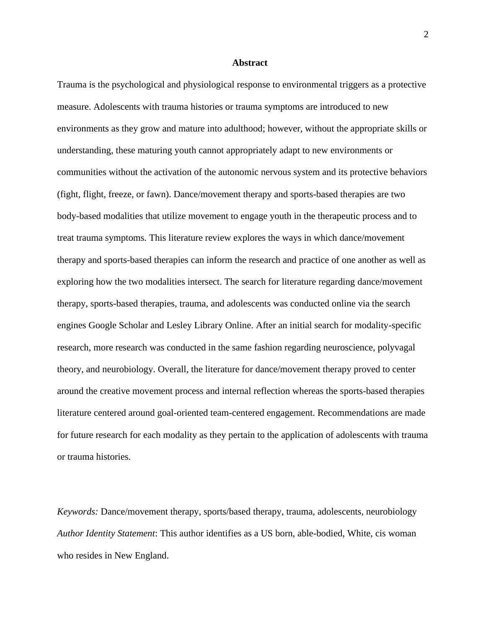#### **Abstract**

Trauma is the psychological and physiological response to environmental triggers as a protective measure. Adolescents with trauma histories or trauma symptoms are introduced to new environments as they grow and mature into adulthood; however, without the appropriate skills or understanding, these maturing youth cannot appropriately adapt to new environments or communities without the activation of the autonomic nervous system and its protective behaviors (fight, flight, freeze, or fawn). Dance/movement therapy and sports-based therapies are two body-based modalities that utilize movement to engage youth in the therapeutic process and to treat trauma symptoms. This literature review explores the ways in which dance/movement therapy and sports-based therapies can inform the research and practice of one another as well as exploring how the two modalities intersect. The search for literature regarding dance/movement therapy, sports-based therapies, trauma, and adolescents was conducted online via the search engines Google Scholar and Lesley Library Online. After an initial search for modality-specific research, more research was conducted in the same fashion regarding neuroscience, polyvagal theory, and neurobiology. Overall, the literature for dance/movement therapy proved to center around the creative movement process and internal reflection whereas the sports-based therapies literature centered around goal-oriented team-centered engagement. Recommendations are made for future research for each modality as they pertain to the application of adolescents with trauma or trauma histories.

*Keywords:* Dance/movement therapy, sports/based therapy, trauma, adolescents, neurobiology *Author Identity Statement*: This author identifies as a US born, able-bodied, White, cis woman who resides in New England.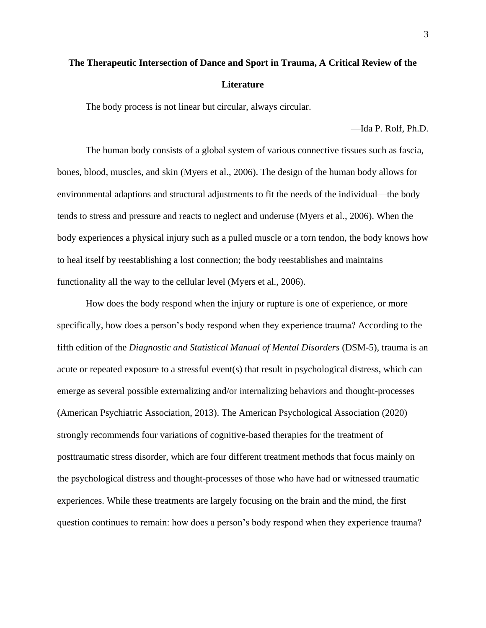# **The Therapeutic Intersection of Dance and Sport in Trauma, A Critical Review of the Literature**

The body process is not linear but circular, always circular.

—Ida P. Rolf, Ph.D.

The human body consists of a global system of various connective tissues such as fascia, bones, blood, muscles, and skin (Myers et al., 2006). The design of the human body allows for environmental adaptions and structural adjustments to fit the needs of the individual—the body tends to stress and pressure and reacts to neglect and underuse (Myers et al., 2006). When the body experiences a physical injury such as a pulled muscle or a torn tendon, the body knows how to heal itself by reestablishing a lost connection; the body reestablishes and maintains functionality all the way to the cellular level (Myers et al., 2006).

How does the body respond when the injury or rupture is one of experience, or more specifically, how does a person's body respond when they experience trauma? According to the fifth edition of the *Diagnostic and Statistical Manual of Mental Disorders* (DSM-5), trauma is an acute or repeated exposure to a stressful event(s) that result in psychological distress, which can emerge as several possible externalizing and/or internalizing behaviors and thought-processes (American Psychiatric Association, 2013). The American Psychological Association (2020) strongly recommends four variations of cognitive-based therapies for the treatment of posttraumatic stress disorder, which are four different treatment methods that focus mainly on the psychological distress and thought-processes of those who have had or witnessed traumatic experiences. While these treatments are largely focusing on the brain and the mind, the first question continues to remain: how does a person's body respond when they experience trauma?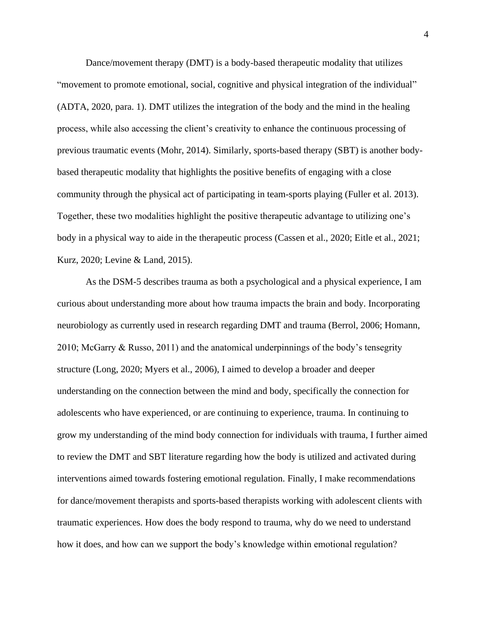Dance/movement therapy (DMT) is a body-based therapeutic modality that utilizes "movement to promote emotional, social, cognitive and physical integration of the individual" (ADTA, 2020, para. 1). DMT utilizes the integration of the body and the mind in the healing process, while also accessing the client's creativity to enhance the continuous processing of previous traumatic events (Mohr, 2014). Similarly, sports-based therapy (SBT) is another bodybased therapeutic modality that highlights the positive benefits of engaging with a close community through the physical act of participating in team-sports playing (Fuller et al. 2013). Together, these two modalities highlight the positive therapeutic advantage to utilizing one's body in a physical way to aide in the therapeutic process (Cassen et al., 2020; Eitle et al., 2021; Kurz, 2020; Levine & Land, 2015).

As the DSM-5 describes trauma as both a psychological and a physical experience, I am curious about understanding more about how trauma impacts the brain and body. Incorporating neurobiology as currently used in research regarding DMT and trauma (Berrol, 2006; Homann, 2010; McGarry & Russo, 2011) and the anatomical underpinnings of the body's tensegrity structure (Long, 2020; Myers et al., 2006), I aimed to develop a broader and deeper understanding on the connection between the mind and body, specifically the connection for adolescents who have experienced, or are continuing to experience, trauma. In continuing to grow my understanding of the mind body connection for individuals with trauma, I further aimed to review the DMT and SBT literature regarding how the body is utilized and activated during interventions aimed towards fostering emotional regulation. Finally, I make recommendations for dance/movement therapists and sports-based therapists working with adolescent clients with traumatic experiences. How does the body respond to trauma, why do we need to understand how it does, and how can we support the body's knowledge within emotional regulation?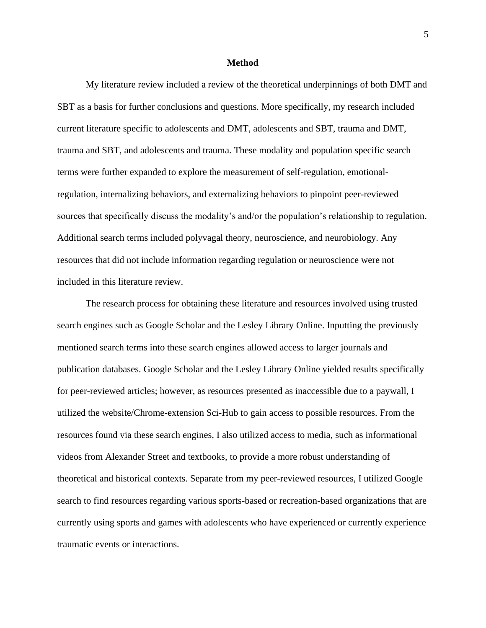#### **Method**

My literature review included a review of the theoretical underpinnings of both DMT and SBT as a basis for further conclusions and questions. More specifically, my research included current literature specific to adolescents and DMT, adolescents and SBT, trauma and DMT, trauma and SBT, and adolescents and trauma. These modality and population specific search terms were further expanded to explore the measurement of self-regulation, emotionalregulation, internalizing behaviors, and externalizing behaviors to pinpoint peer-reviewed sources that specifically discuss the modality's and/or the population's relationship to regulation. Additional search terms included polyvagal theory, neuroscience, and neurobiology. Any resources that did not include information regarding regulation or neuroscience were not included in this literature review.

The research process for obtaining these literature and resources involved using trusted search engines such as Google Scholar and the Lesley Library Online. Inputting the previously mentioned search terms into these search engines allowed access to larger journals and publication databases. Google Scholar and the Lesley Library Online yielded results specifically for peer-reviewed articles; however, as resources presented as inaccessible due to a paywall, I utilized the website/Chrome-extension Sci-Hub to gain access to possible resources. From the resources found via these search engines, I also utilized access to media, such as informational videos from Alexander Street and textbooks, to provide a more robust understanding of theoretical and historical contexts. Separate from my peer-reviewed resources, I utilized Google search to find resources regarding various sports-based or recreation-based organizations that are currently using sports and games with adolescents who have experienced or currently experience traumatic events or interactions.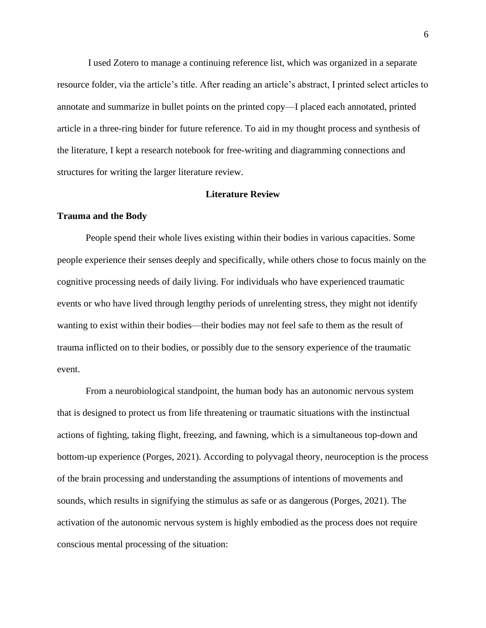I used Zotero to manage a continuing reference list, which was organized in a separate resource folder, via the article's title. After reading an article's abstract, I printed select articles to annotate and summarize in bullet points on the printed copy—I placed each annotated, printed article in a three-ring binder for future reference. To aid in my thought process and synthesis of the literature, I kept a research notebook for free-writing and diagramming connections and structures for writing the larger literature review.

#### **Literature Review**

#### **Trauma and the Body**

People spend their whole lives existing within their bodies in various capacities. Some people experience their senses deeply and specifically, while others chose to focus mainly on the cognitive processing needs of daily living. For individuals who have experienced traumatic events or who have lived through lengthy periods of unrelenting stress, they might not identify wanting to exist within their bodies—their bodies may not feel safe to them as the result of trauma inflicted on to their bodies, or possibly due to the sensory experience of the traumatic event.

From a neurobiological standpoint, the human body has an autonomic nervous system that is designed to protect us from life threatening or traumatic situations with the instinctual actions of fighting, taking flight, freezing, and fawning, which is a simultaneous top-down and bottom-up experience (Porges, 2021). According to polyvagal theory, neuroception is the process of the brain processing and understanding the assumptions of intentions of movements and sounds, which results in signifying the stimulus as safe or as dangerous (Porges, 2021). The activation of the autonomic nervous system is highly embodied as the process does not require conscious mental processing of the situation: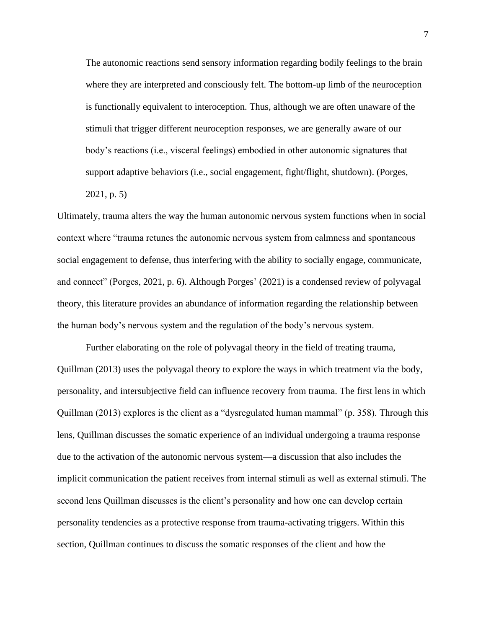The autonomic reactions send sensory information regarding bodily feelings to the brain where they are interpreted and consciously felt. The bottom-up limb of the neuroception is functionally equivalent to interoception. Thus, although we are often unaware of the stimuli that trigger different neuroception responses, we are generally aware of our body's reactions (i.e., visceral feelings) embodied in other autonomic signatures that support adaptive behaviors (i.e., social engagement, fight/flight, shutdown). (Porges,

2021, p. 5)

Ultimately, trauma alters the way the human autonomic nervous system functions when in social context where "trauma retunes the autonomic nervous system from calmness and spontaneous social engagement to defense, thus interfering with the ability to socially engage, communicate, and connect" (Porges, 2021, p. 6). Although Porges' (2021) is a condensed review of polyvagal theory, this literature provides an abundance of information regarding the relationship between the human body's nervous system and the regulation of the body's nervous system.

Further elaborating on the role of polyvagal theory in the field of treating trauma, Quillman (2013) uses the polyvagal theory to explore the ways in which treatment via the body, personality, and intersubjective field can influence recovery from trauma. The first lens in which Quillman (2013) explores is the client as a "dysregulated human mammal" (p. 358). Through this lens, Quillman discusses the somatic experience of an individual undergoing a trauma response due to the activation of the autonomic nervous system—a discussion that also includes the implicit communication the patient receives from internal stimuli as well as external stimuli. The second lens Quillman discusses is the client's personality and how one can develop certain personality tendencies as a protective response from trauma-activating triggers. Within this section, Quillman continues to discuss the somatic responses of the client and how the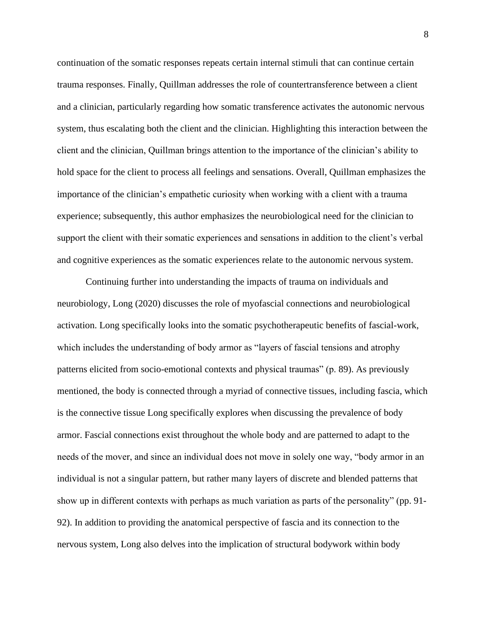continuation of the somatic responses repeats certain internal stimuli that can continue certain trauma responses. Finally, Quillman addresses the role of countertransference between a client and a clinician, particularly regarding how somatic transference activates the autonomic nervous system, thus escalating both the client and the clinician. Highlighting this interaction between the client and the clinician, Quillman brings attention to the importance of the clinician's ability to hold space for the client to process all feelings and sensations. Overall, Quillman emphasizes the importance of the clinician's empathetic curiosity when working with a client with a trauma experience; subsequently, this author emphasizes the neurobiological need for the clinician to support the client with their somatic experiences and sensations in addition to the client's verbal and cognitive experiences as the somatic experiences relate to the autonomic nervous system.

Continuing further into understanding the impacts of trauma on individuals and neurobiology, Long (2020) discusses the role of myofascial connections and neurobiological activation. Long specifically looks into the somatic psychotherapeutic benefits of fascial-work, which includes the understanding of body armor as "layers of fascial tensions and atrophy patterns elicited from socio-emotional contexts and physical traumas" (p. 89). As previously mentioned, the body is connected through a myriad of connective tissues, including fascia, which is the connective tissue Long specifically explores when discussing the prevalence of body armor. Fascial connections exist throughout the whole body and are patterned to adapt to the needs of the mover, and since an individual does not move in solely one way, "body armor in an individual is not a singular pattern, but rather many layers of discrete and blended patterns that show up in different contexts with perhaps as much variation as parts of the personality" (pp. 91- 92). In addition to providing the anatomical perspective of fascia and its connection to the nervous system, Long also delves into the implication of structural bodywork within body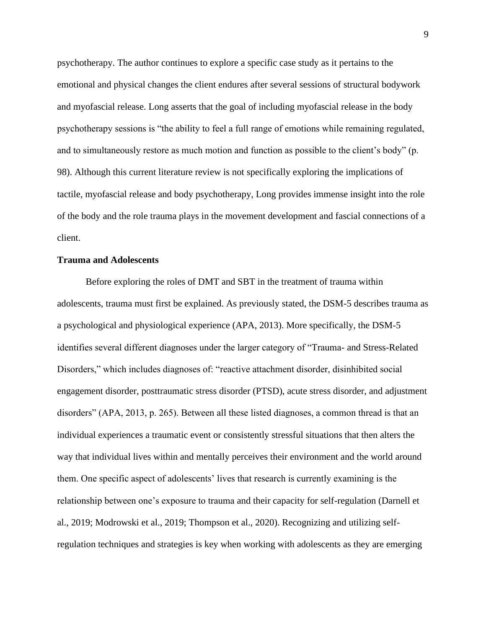psychotherapy. The author continues to explore a specific case study as it pertains to the emotional and physical changes the client endures after several sessions of structural bodywork and myofascial release. Long asserts that the goal of including myofascial release in the body psychotherapy sessions is "the ability to feel a full range of emotions while remaining regulated, and to simultaneously restore as much motion and function as possible to the client's body" (p. 98). Although this current literature review is not specifically exploring the implications of tactile, myofascial release and body psychotherapy, Long provides immense insight into the role of the body and the role trauma plays in the movement development and fascial connections of a client.

#### **Trauma and Adolescents**

Before exploring the roles of DMT and SBT in the treatment of trauma within adolescents, trauma must first be explained. As previously stated, the DSM-5 describes trauma as a psychological and physiological experience (APA, 2013). More specifically, the DSM-5 identifies several different diagnoses under the larger category of "Trauma- and Stress-Related Disorders," which includes diagnoses of: "reactive attachment disorder, disinhibited social engagement disorder, posttraumatic stress disorder (PTSD), acute stress disorder, and adjustment disorders" (APA, 2013, p. 265). Between all these listed diagnoses, a common thread is that an individual experiences a traumatic event or consistently stressful situations that then alters the way that individual lives within and mentally perceives their environment and the world around them. One specific aspect of adolescents' lives that research is currently examining is the relationship between one's exposure to trauma and their capacity for self-regulation (Darnell et al., 2019; Modrowski et al., 2019; Thompson et al., 2020). Recognizing and utilizing selfregulation techniques and strategies is key when working with adolescents as they are emerging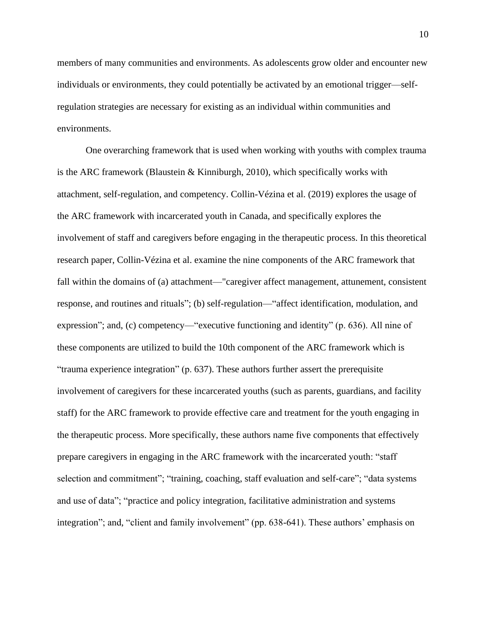members of many communities and environments. As adolescents grow older and encounter new individuals or environments, they could potentially be activated by an emotional trigger—selfregulation strategies are necessary for existing as an individual within communities and environments.

One overarching framework that is used when working with youths with complex trauma is the ARC framework (Blaustein & Kinniburgh, 2010), which specifically works with attachment, self-regulation, and competency. Collin-Vézina et al. (2019) explores the usage of the ARC framework with incarcerated youth in Canada, and specifically explores the involvement of staff and caregivers before engaging in the therapeutic process. In this theoretical research paper, Collin-Vézina et al. examine the nine components of the ARC framework that fall within the domains of (a) attachment—"caregiver affect management, attunement, consistent response, and routines and rituals"; (b) self-regulation—"affect identification, modulation, and expression"; and, (c) competency—"executive functioning and identity" (p. 636). All nine of these components are utilized to build the 10th component of the ARC framework which is "trauma experience integration" (p. 637). These authors further assert the prerequisite involvement of caregivers for these incarcerated youths (such as parents, guardians, and facility staff) for the ARC framework to provide effective care and treatment for the youth engaging in the therapeutic process. More specifically, these authors name five components that effectively prepare caregivers in engaging in the ARC framework with the incarcerated youth: "staff selection and commitment"; "training, coaching, staff evaluation and self-care"; "data systems and use of data"; "practice and policy integration, facilitative administration and systems integration"; and, "client and family involvement" (pp. 638-641). These authors' emphasis on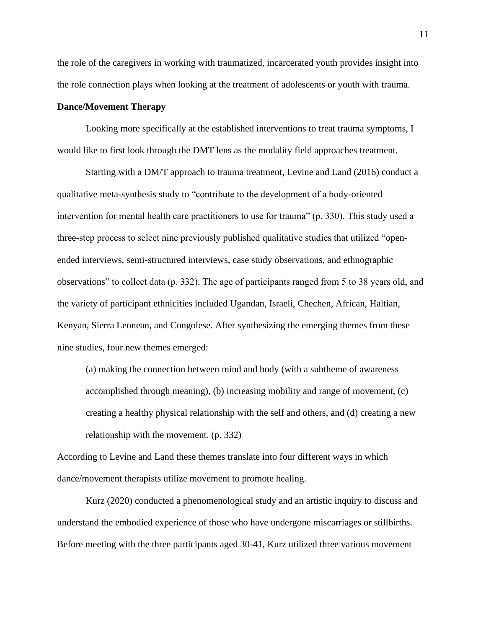the role of the caregivers in working with traumatized, incarcerated youth provides insight into the role connection plays when looking at the treatment of adolescents or youth with trauma.

#### **Dance/Movement Therapy**

Looking more specifically at the established interventions to treat trauma symptoms, I would like to first look through the DMT lens as the modality field approaches treatment.

Starting with a DM/T approach to trauma treatment, Levine and Land (2016) conduct a qualitative meta-synthesis study to "contribute to the development of a body-oriented intervention for mental health care practitioners to use for trauma" (p. 330). This study used a three-step process to select nine previously published qualitative studies that utilized "openended interviews, semi-structured interviews, case study observations, and ethnographic observations" to collect data (p. 332). The age of participants ranged from 5 to 38 years old, and the variety of participant ethnicities included Ugandan, Israeli, Chechen, African, Haitian, Kenyan, Sierra Leonean, and Congolese. After synthesizing the emerging themes from these nine studies, four new themes emerged:

(a) making the connection between mind and body (with a subtheme of awareness accomplished through meaning), (b) increasing mobility and range of movement, (c) creating a healthy physical relationship with the self and others, and (d) creating a new relationship with the movement. (p. 332)

According to Levine and Land these themes translate into four different ways in which dance/movement therapists utilize movement to promote healing.

Kurz (2020) conducted a phenomenological study and an artistic inquiry to discuss and understand the embodied experience of those who have undergone miscarriages or stillbirths. Before meeting with the three participants aged 30-41, Kurz utilized three various movement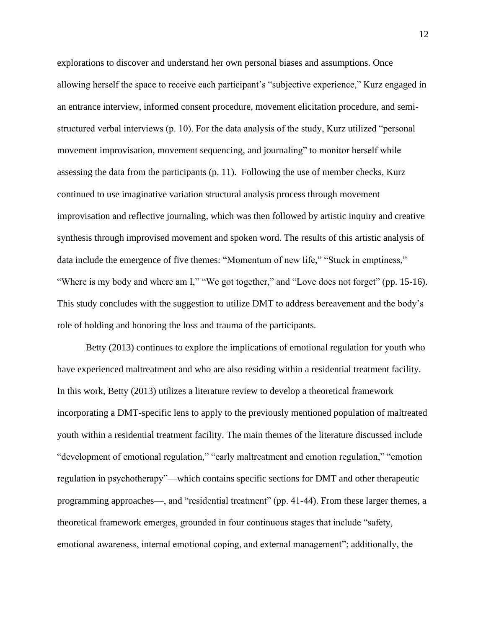explorations to discover and understand her own personal biases and assumptions. Once allowing herself the space to receive each participant's "subjective experience," Kurz engaged in an entrance interview, informed consent procedure, movement elicitation procedure, and semistructured verbal interviews (p. 10). For the data analysis of the study, Kurz utilized "personal movement improvisation, movement sequencing, and journaling" to monitor herself while assessing the data from the participants (p. 11). Following the use of member checks, Kurz continued to use imaginative variation structural analysis process through movement improvisation and reflective journaling, which was then followed by artistic inquiry and creative synthesis through improvised movement and spoken word. The results of this artistic analysis of data include the emergence of five themes: "Momentum of new life," "Stuck in emptiness," "Where is my body and where am I," "We got together," and "Love does not forget" (pp. 15-16). This study concludes with the suggestion to utilize DMT to address bereavement and the body's role of holding and honoring the loss and trauma of the participants.

Betty (2013) continues to explore the implications of emotional regulation for youth who have experienced maltreatment and who are also residing within a residential treatment facility. In this work, Betty (2013) utilizes a literature review to develop a theoretical framework incorporating a DMT-specific lens to apply to the previously mentioned population of maltreated youth within a residential treatment facility. The main themes of the literature discussed include "development of emotional regulation," "early maltreatment and emotion regulation," "emotion regulation in psychotherapy"—which contains specific sections for DMT and other therapeutic programming approaches—, and "residential treatment" (pp. 41-44). From these larger themes, a theoretical framework emerges, grounded in four continuous stages that include "safety, emotional awareness, internal emotional coping, and external management"; additionally, the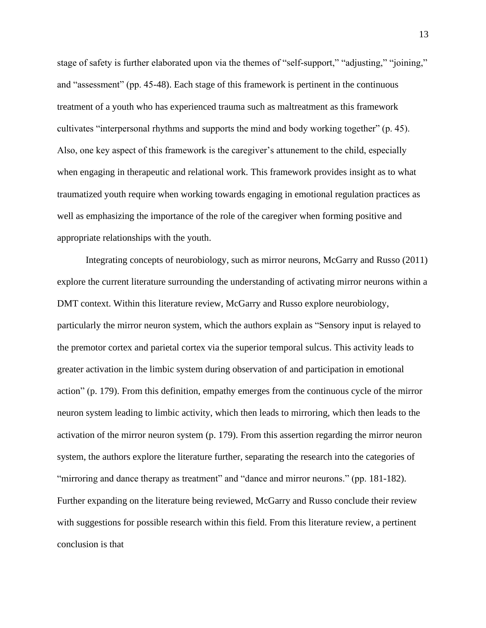stage of safety is further elaborated upon via the themes of "self-support," "adjusting," "joining," and "assessment" (pp. 45-48). Each stage of this framework is pertinent in the continuous treatment of a youth who has experienced trauma such as maltreatment as this framework cultivates "interpersonal rhythms and supports the mind and body working together" (p. 45). Also, one key aspect of this framework is the caregiver's attunement to the child, especially when engaging in therapeutic and relational work. This framework provides insight as to what traumatized youth require when working towards engaging in emotional regulation practices as well as emphasizing the importance of the role of the caregiver when forming positive and appropriate relationships with the youth.

Integrating concepts of neurobiology, such as mirror neurons, McGarry and Russo (2011) explore the current literature surrounding the understanding of activating mirror neurons within a DMT context. Within this literature review, McGarry and Russo explore neurobiology, particularly the mirror neuron system, which the authors explain as "Sensory input is relayed to the premotor cortex and parietal cortex via the superior temporal sulcus. This activity leads to greater activation in the limbic system during observation of and participation in emotional action" (p. 179). From this definition, empathy emerges from the continuous cycle of the mirror neuron system leading to limbic activity, which then leads to mirroring, which then leads to the activation of the mirror neuron system (p. 179). From this assertion regarding the mirror neuron system, the authors explore the literature further, separating the research into the categories of "mirroring and dance therapy as treatment" and "dance and mirror neurons." (pp. 181-182). Further expanding on the literature being reviewed, McGarry and Russo conclude their review with suggestions for possible research within this field. From this literature review, a pertinent conclusion is that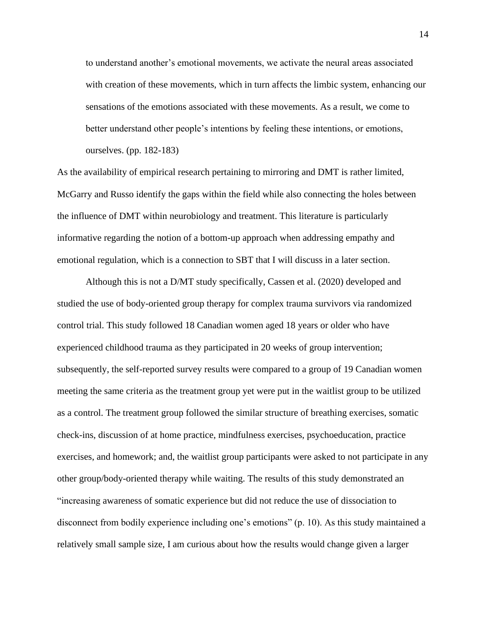to understand another's emotional movements, we activate the neural areas associated with creation of these movements, which in turn affects the limbic system, enhancing our sensations of the emotions associated with these movements. As a result, we come to better understand other people's intentions by feeling these intentions, or emotions, ourselves. (pp. 182-183)

As the availability of empirical research pertaining to mirroring and DMT is rather limited, McGarry and Russo identify the gaps within the field while also connecting the holes between the influence of DMT within neurobiology and treatment. This literature is particularly informative regarding the notion of a bottom-up approach when addressing empathy and emotional regulation, which is a connection to SBT that I will discuss in a later section.

Although this is not a D/MT study specifically, Cassen et al. (2020) developed and studied the use of body-oriented group therapy for complex trauma survivors via randomized control trial. This study followed 18 Canadian women aged 18 years or older who have experienced childhood trauma as they participated in 20 weeks of group intervention; subsequently, the self-reported survey results were compared to a group of 19 Canadian women meeting the same criteria as the treatment group yet were put in the waitlist group to be utilized as a control. The treatment group followed the similar structure of breathing exercises, somatic check-ins, discussion of at home practice, mindfulness exercises, psychoeducation, practice exercises, and homework; and, the waitlist group participants were asked to not participate in any other group/body-oriented therapy while waiting. The results of this study demonstrated an "increasing awareness of somatic experience but did not reduce the use of dissociation to disconnect from bodily experience including one's emotions" (p. 10). As this study maintained a relatively small sample size, I am curious about how the results would change given a larger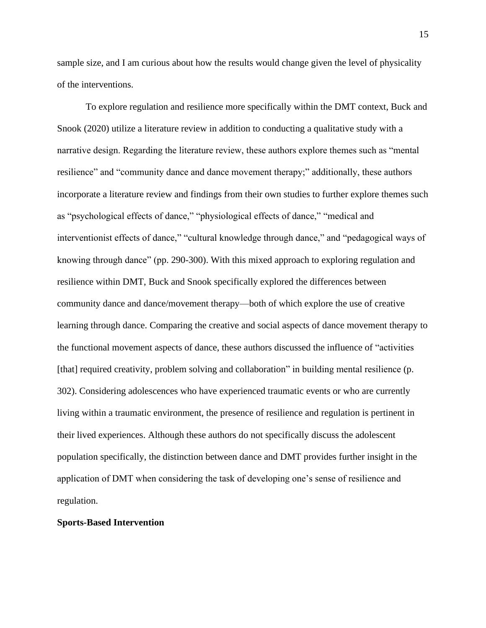sample size, and I am curious about how the results would change given the level of physicality of the interventions.

To explore regulation and resilience more specifically within the DMT context, Buck and Snook (2020) utilize a literature review in addition to conducting a qualitative study with a narrative design. Regarding the literature review, these authors explore themes such as "mental resilience" and "community dance and dance movement therapy;" additionally, these authors incorporate a literature review and findings from their own studies to further explore themes such as "psychological effects of dance," "physiological effects of dance," "medical and interventionist effects of dance," "cultural knowledge through dance," and "pedagogical ways of knowing through dance" (pp. 290-300). With this mixed approach to exploring regulation and resilience within DMT, Buck and Snook specifically explored the differences between community dance and dance/movement therapy—both of which explore the use of creative learning through dance. Comparing the creative and social aspects of dance movement therapy to the functional movement aspects of dance, these authors discussed the influence of "activities [that] required creativity, problem solving and collaboration" in building mental resilience (p. 302). Considering adolescences who have experienced traumatic events or who are currently living within a traumatic environment, the presence of resilience and regulation is pertinent in their lived experiences. Although these authors do not specifically discuss the adolescent population specifically, the distinction between dance and DMT provides further insight in the application of DMT when considering the task of developing one's sense of resilience and regulation.

#### **Sports-Based Intervention**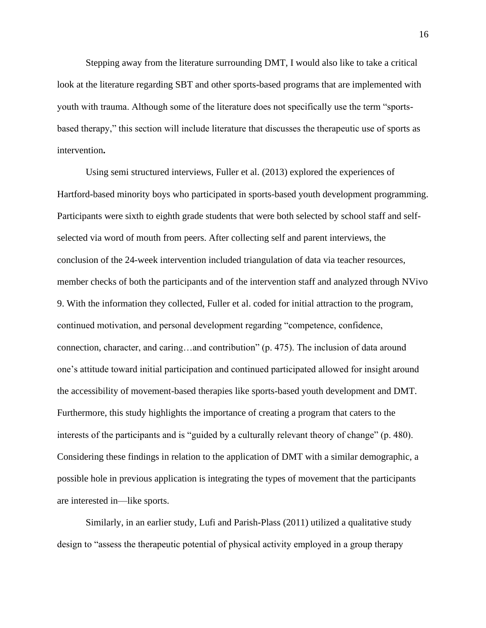Stepping away from the literature surrounding DMT, I would also like to take a critical look at the literature regarding SBT and other sports-based programs that are implemented with youth with trauma. Although some of the literature does not specifically use the term "sportsbased therapy," this section will include literature that discusses the therapeutic use of sports as intervention**.**

Using semi structured interviews, Fuller et al. (2013) explored the experiences of Hartford-based minority boys who participated in sports-based youth development programming. Participants were sixth to eighth grade students that were both selected by school staff and selfselected via word of mouth from peers. After collecting self and parent interviews, the conclusion of the 24-week intervention included triangulation of data via teacher resources, member checks of both the participants and of the intervention staff and analyzed through NVivo 9. With the information they collected, Fuller et al. coded for initial attraction to the program, continued motivation, and personal development regarding "competence, confidence, connection, character, and caring…and contribution" (p. 475). The inclusion of data around one's attitude toward initial participation and continued participated allowed for insight around the accessibility of movement-based therapies like sports-based youth development and DMT. Furthermore, this study highlights the importance of creating a program that caters to the interests of the participants and is "guided by a culturally relevant theory of change" (p. 480). Considering these findings in relation to the application of DMT with a similar demographic, a possible hole in previous application is integrating the types of movement that the participants are interested in—like sports.

Similarly, in an earlier study, Lufi and Parish-Plass (2011) utilized a qualitative study design to "assess the therapeutic potential of physical activity employed in a group therapy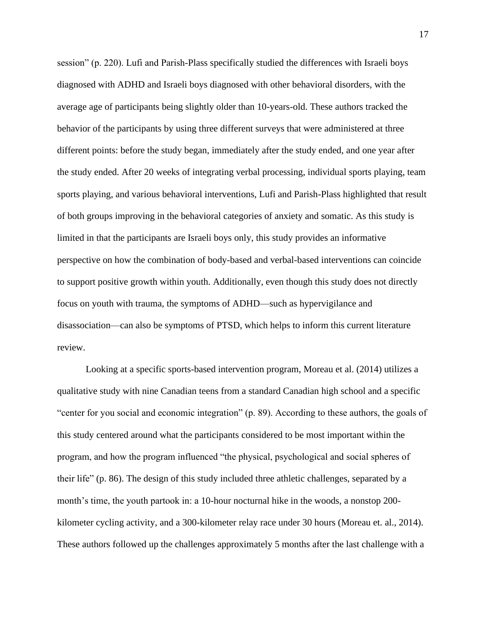session" (p. 220). Lufi and Parish-Plass specifically studied the differences with Israeli boys diagnosed with ADHD and Israeli boys diagnosed with other behavioral disorders, with the average age of participants being slightly older than 10-years-old. These authors tracked the behavior of the participants by using three different surveys that were administered at three different points: before the study began, immediately after the study ended, and one year after the study ended. After 20 weeks of integrating verbal processing, individual sports playing, team sports playing, and various behavioral interventions, Lufi and Parish-Plass highlighted that result of both groups improving in the behavioral categories of anxiety and somatic. As this study is limited in that the participants are Israeli boys only, this study provides an informative perspective on how the combination of body-based and verbal-based interventions can coincide to support positive growth within youth. Additionally, even though this study does not directly focus on youth with trauma, the symptoms of ADHD—such as hypervigilance and disassociation—can also be symptoms of PTSD, which helps to inform this current literature review.

Looking at a specific sports-based intervention program, Moreau et al. (2014) utilizes a qualitative study with nine Canadian teens from a standard Canadian high school and a specific "center for you social and economic integration" (p. 89). According to these authors, the goals of this study centered around what the participants considered to be most important within the program, and how the program influenced "the physical, psychological and social spheres of their life" (p. 86). The design of this study included three athletic challenges, separated by a month's time, the youth partook in: a 10-hour nocturnal hike in the woods, a nonstop 200 kilometer cycling activity, and a 300-kilometer relay race under 30 hours (Moreau et. al., 2014). These authors followed up the challenges approximately 5 months after the last challenge with a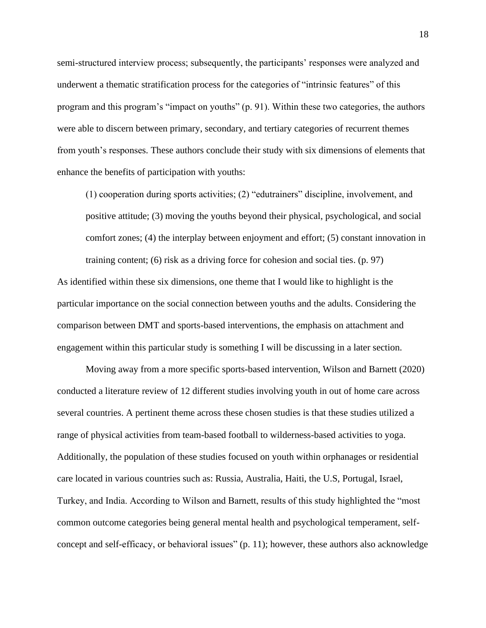semi-structured interview process; subsequently, the participants' responses were analyzed and underwent a thematic stratification process for the categories of "intrinsic features" of this program and this program's "impact on youths" (p. 91). Within these two categories, the authors were able to discern between primary, secondary, and tertiary categories of recurrent themes from youth's responses. These authors conclude their study with six dimensions of elements that enhance the benefits of participation with youths:

(1) cooperation during sports activities; (2) "edutrainers" discipline, involvement, and positive attitude; (3) moving the youths beyond their physical, psychological, and social comfort zones; (4) the interplay between enjoyment and effort; (5) constant innovation in training content; (6) risk as a driving force for cohesion and social ties. (p. 97)

As identified within these six dimensions, one theme that I would like to highlight is the particular importance on the social connection between youths and the adults. Considering the comparison between DMT and sports-based interventions, the emphasis on attachment and engagement within this particular study is something I will be discussing in a later section.

Moving away from a more specific sports-based intervention, Wilson and Barnett (2020) conducted a literature review of 12 different studies involving youth in out of home care across several countries. A pertinent theme across these chosen studies is that these studies utilized a range of physical activities from team-based football to wilderness-based activities to yoga. Additionally, the population of these studies focused on youth within orphanages or residential care located in various countries such as: Russia, Australia, Haiti, the U.S, Portugal, Israel, Turkey, and India. According to Wilson and Barnett, results of this study highlighted the "most common outcome categories being general mental health and psychological temperament, selfconcept and self-efficacy, or behavioral issues" (p. 11); however, these authors also acknowledge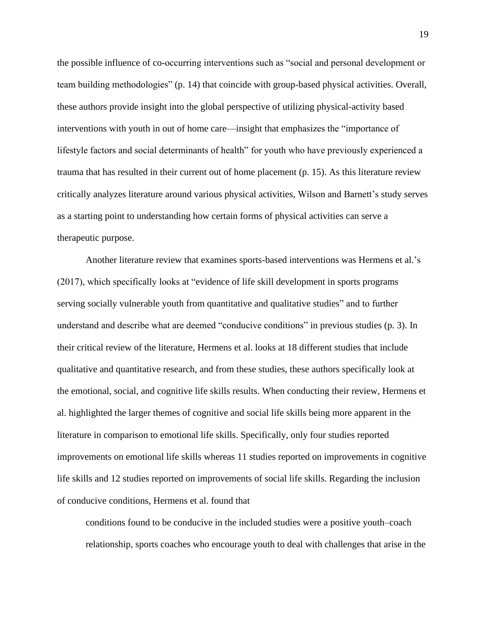the possible influence of co-occurring interventions such as "social and personal development or team building methodologies" (p. 14) that coincide with group-based physical activities. Overall, these authors provide insight into the global perspective of utilizing physical-activity based interventions with youth in out of home care—insight that emphasizes the "importance of lifestyle factors and social determinants of health" for youth who have previously experienced a trauma that has resulted in their current out of home placement (p. 15). As this literature review critically analyzes literature around various physical activities, Wilson and Barnett's study serves as a starting point to understanding how certain forms of physical activities can serve a therapeutic purpose.

Another literature review that examines sports-based interventions was Hermens et al.'s (2017), which specifically looks at "evidence of life skill development in sports programs serving socially vulnerable youth from quantitative and qualitative studies" and to further understand and describe what are deemed "conducive conditions" in previous studies (p. 3). In their critical review of the literature, Hermens et al. looks at 18 different studies that include qualitative and quantitative research, and from these studies, these authors specifically look at the emotional, social, and cognitive life skills results. When conducting their review, Hermens et al. highlighted the larger themes of cognitive and social life skills being more apparent in the literature in comparison to emotional life skills. Specifically, only four studies reported improvements on emotional life skills whereas 11 studies reported on improvements in cognitive life skills and 12 studies reported on improvements of social life skills. Regarding the inclusion of conducive conditions, Hermens et al. found that

conditions found to be conducive in the included studies were a positive youth–coach relationship, sports coaches who encourage youth to deal with challenges that arise in the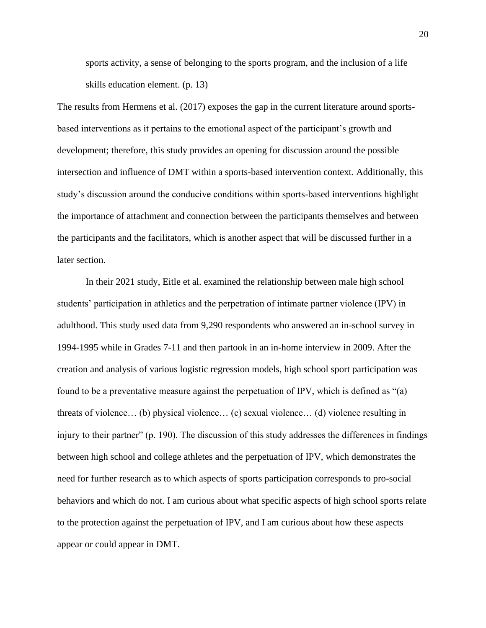sports activity, a sense of belonging to the sports program, and the inclusion of a life skills education element. (p. 13)

The results from Hermens et al. (2017) exposes the gap in the current literature around sportsbased interventions as it pertains to the emotional aspect of the participant's growth and development; therefore, this study provides an opening for discussion around the possible intersection and influence of DMT within a sports-based intervention context. Additionally, this study's discussion around the conducive conditions within sports-based interventions highlight the importance of attachment and connection between the participants themselves and between the participants and the facilitators, which is another aspect that will be discussed further in a later section.

In their 2021 study, Eitle et al. examined the relationship between male high school students' participation in athletics and the perpetration of intimate partner violence (IPV) in adulthood. This study used data from 9,290 respondents who answered an in-school survey in 1994-1995 while in Grades 7-11 and then partook in an in-home interview in 2009. After the creation and analysis of various logistic regression models, high school sport participation was found to be a preventative measure against the perpetuation of IPV, which is defined as "(a) threats of violence… (b) physical violence… (c) sexual violence… (d) violence resulting in injury to their partner" (p. 190). The discussion of this study addresses the differences in findings between high school and college athletes and the perpetuation of IPV, which demonstrates the need for further research as to which aspects of sports participation corresponds to pro-social behaviors and which do not. I am curious about what specific aspects of high school sports relate to the protection against the perpetuation of IPV, and I am curious about how these aspects appear or could appear in DMT.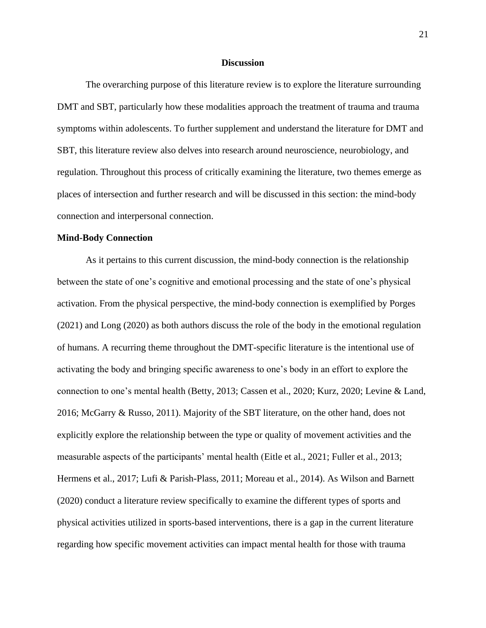#### **Discussion**

The overarching purpose of this literature review is to explore the literature surrounding DMT and SBT, particularly how these modalities approach the treatment of trauma and trauma symptoms within adolescents. To further supplement and understand the literature for DMT and SBT, this literature review also delves into research around neuroscience, neurobiology, and regulation. Throughout this process of critically examining the literature, two themes emerge as places of intersection and further research and will be discussed in this section: the mind-body connection and interpersonal connection.

#### **Mind-Body Connection**

As it pertains to this current discussion, the mind-body connection is the relationship between the state of one's cognitive and emotional processing and the state of one's physical activation. From the physical perspective, the mind-body connection is exemplified by Porges (2021) and Long (2020) as both authors discuss the role of the body in the emotional regulation of humans. A recurring theme throughout the DMT-specific literature is the intentional use of activating the body and bringing specific awareness to one's body in an effort to explore the connection to one's mental health (Betty, 2013; Cassen et al., 2020; Kurz, 2020; Levine & Land, 2016; McGarry & Russo, 2011). Majority of the SBT literature, on the other hand, does not explicitly explore the relationship between the type or quality of movement activities and the measurable aspects of the participants' mental health (Eitle et al., 2021; Fuller et al., 2013; Hermens et al., 2017; Lufi & Parish-Plass, 2011; Moreau et al., 2014). As Wilson and Barnett (2020) conduct a literature review specifically to examine the different types of sports and physical activities utilized in sports-based interventions, there is a gap in the current literature regarding how specific movement activities can impact mental health for those with trauma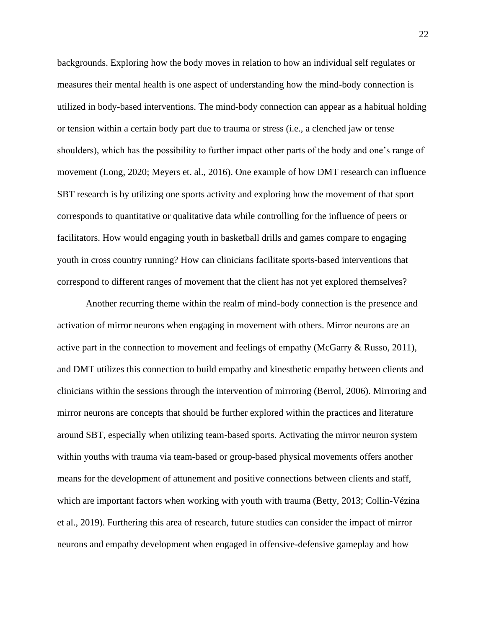backgrounds. Exploring how the body moves in relation to how an individual self regulates or measures their mental health is one aspect of understanding how the mind-body connection is utilized in body-based interventions. The mind-body connection can appear as a habitual holding or tension within a certain body part due to trauma or stress (i.e., a clenched jaw or tense shoulders), which has the possibility to further impact other parts of the body and one's range of movement (Long, 2020; Meyers et. al., 2016). One example of how DMT research can influence SBT research is by utilizing one sports activity and exploring how the movement of that sport corresponds to quantitative or qualitative data while controlling for the influence of peers or facilitators. How would engaging youth in basketball drills and games compare to engaging youth in cross country running? How can clinicians facilitate sports-based interventions that correspond to different ranges of movement that the client has not yet explored themselves?

Another recurring theme within the realm of mind-body connection is the presence and activation of mirror neurons when engaging in movement with others. Mirror neurons are an active part in the connection to movement and feelings of empathy (McGarry & Russo, 2011), and DMT utilizes this connection to build empathy and kinesthetic empathy between clients and clinicians within the sessions through the intervention of mirroring (Berrol, 2006). Mirroring and mirror neurons are concepts that should be further explored within the practices and literature around SBT, especially when utilizing team-based sports. Activating the mirror neuron system within youths with trauma via team-based or group-based physical movements offers another means for the development of attunement and positive connections between clients and staff, which are important factors when working with youth with trauma (Betty, 2013; Collin-Vézina et al., 2019). Furthering this area of research, future studies can consider the impact of mirror neurons and empathy development when engaged in offensive-defensive gameplay and how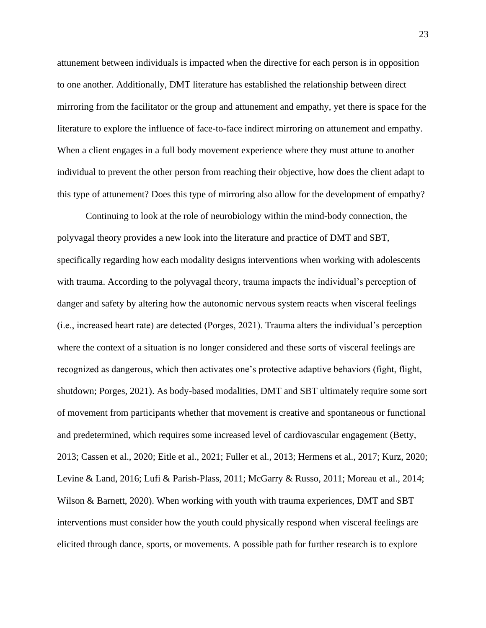attunement between individuals is impacted when the directive for each person is in opposition to one another. Additionally, DMT literature has established the relationship between direct mirroring from the facilitator or the group and attunement and empathy, yet there is space for the literature to explore the influence of face-to-face indirect mirroring on attunement and empathy. When a client engages in a full body movement experience where they must attune to another individual to prevent the other person from reaching their objective, how does the client adapt to this type of attunement? Does this type of mirroring also allow for the development of empathy?

Continuing to look at the role of neurobiology within the mind-body connection, the polyvagal theory provides a new look into the literature and practice of DMT and SBT, specifically regarding how each modality designs interventions when working with adolescents with trauma. According to the polyvagal theory, trauma impacts the individual's perception of danger and safety by altering how the autonomic nervous system reacts when visceral feelings (i.e., increased heart rate) are detected (Porges, 2021). Trauma alters the individual's perception where the context of a situation is no longer considered and these sorts of visceral feelings are recognized as dangerous, which then activates one's protective adaptive behaviors (fight, flight, shutdown; Porges, 2021). As body-based modalities, DMT and SBT ultimately require some sort of movement from participants whether that movement is creative and spontaneous or functional and predetermined, which requires some increased level of cardiovascular engagement (Betty, 2013; Cassen et al., 2020; Eitle et al., 2021; Fuller et al., 2013; Hermens et al., 2017; Kurz, 2020; Levine & Land, 2016; Lufi & Parish-Plass, 2011; McGarry & Russo, 2011; Moreau et al., 2014; Wilson & Barnett, 2020). When working with youth with trauma experiences, DMT and SBT interventions must consider how the youth could physically respond when visceral feelings are elicited through dance, sports, or movements. A possible path for further research is to explore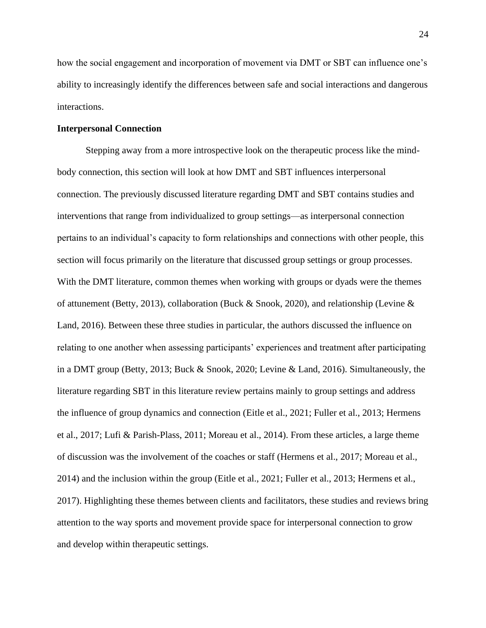how the social engagement and incorporation of movement via DMT or SBT can influence one's ability to increasingly identify the differences between safe and social interactions and dangerous interactions.

#### **Interpersonal Connection**

Stepping away from a more introspective look on the therapeutic process like the mindbody connection, this section will look at how DMT and SBT influences interpersonal connection. The previously discussed literature regarding DMT and SBT contains studies and interventions that range from individualized to group settings—as interpersonal connection pertains to an individual's capacity to form relationships and connections with other people, this section will focus primarily on the literature that discussed group settings or group processes. With the DMT literature, common themes when working with groups or dyads were the themes of attunement (Betty, 2013), collaboration (Buck & Snook, 2020), and relationship (Levine & Land, 2016). Between these three studies in particular, the authors discussed the influence on relating to one another when assessing participants' experiences and treatment after participating in a DMT group (Betty, 2013; Buck & Snook, 2020; Levine & Land, 2016). Simultaneously, the literature regarding SBT in this literature review pertains mainly to group settings and address the influence of group dynamics and connection (Eitle et al., 2021; Fuller et al., 2013; Hermens et al., 2017; Lufi & Parish-Plass, 2011; Moreau et al., 2014). From these articles, a large theme of discussion was the involvement of the coaches or staff (Hermens et al., 2017; Moreau et al., 2014) and the inclusion within the group (Eitle et al., 2021; Fuller et al., 2013; Hermens et al., 2017). Highlighting these themes between clients and facilitators, these studies and reviews bring attention to the way sports and movement provide space for interpersonal connection to grow and develop within therapeutic settings.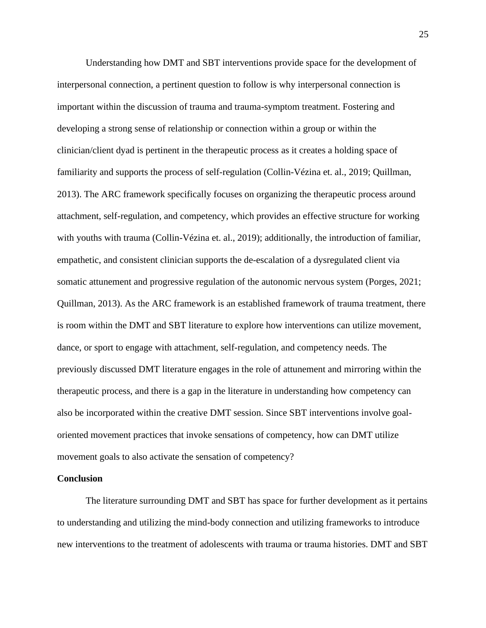Understanding how DMT and SBT interventions provide space for the development of interpersonal connection, a pertinent question to follow is why interpersonal connection is important within the discussion of trauma and trauma-symptom treatment. Fostering and developing a strong sense of relationship or connection within a group or within the clinician/client dyad is pertinent in the therapeutic process as it creates a holding space of familiarity and supports the process of self-regulation (Collin-Vézina et. al., 2019; Quillman, 2013). The ARC framework specifically focuses on organizing the therapeutic process around attachment, self-regulation, and competency, which provides an effective structure for working with youths with trauma (Collin-Vézina et. al., 2019); additionally, the introduction of familiar, empathetic, and consistent clinician supports the de-escalation of a dysregulated client via somatic attunement and progressive regulation of the autonomic nervous system (Porges, 2021; Quillman, 2013). As the ARC framework is an established framework of trauma treatment, there is room within the DMT and SBT literature to explore how interventions can utilize movement, dance, or sport to engage with attachment, self-regulation, and competency needs. The previously discussed DMT literature engages in the role of attunement and mirroring within the therapeutic process, and there is a gap in the literature in understanding how competency can also be incorporated within the creative DMT session. Since SBT interventions involve goaloriented movement practices that invoke sensations of competency, how can DMT utilize movement goals to also activate the sensation of competency?

#### **Conclusion**

The literature surrounding DMT and SBT has space for further development as it pertains to understanding and utilizing the mind-body connection and utilizing frameworks to introduce new interventions to the treatment of adolescents with trauma or trauma histories. DMT and SBT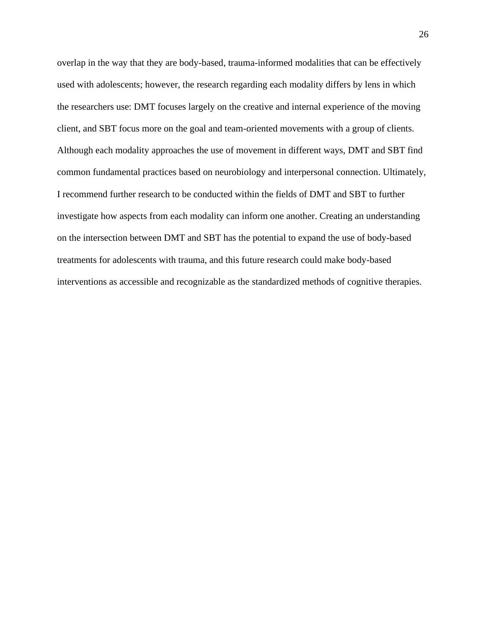overlap in the way that they are body-based, trauma-informed modalities that can be effectively used with adolescents; however, the research regarding each modality differs by lens in which the researchers use: DMT focuses largely on the creative and internal experience of the moving client, and SBT focus more on the goal and team-oriented movements with a group of clients. Although each modality approaches the use of movement in different ways, DMT and SBT find common fundamental practices based on neurobiology and interpersonal connection. Ultimately, I recommend further research to be conducted within the fields of DMT and SBT to further investigate how aspects from each modality can inform one another. Creating an understanding on the intersection between DMT and SBT has the potential to expand the use of body-based treatments for adolescents with trauma, and this future research could make body-based interventions as accessible and recognizable as the standardized methods of cognitive therapies.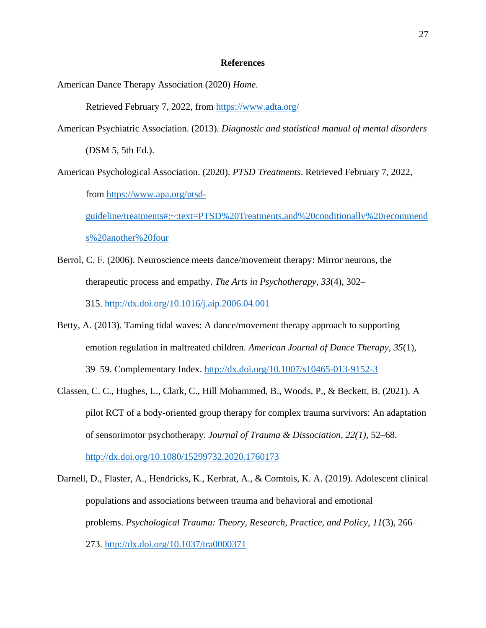#### **References**

American Dance Therapy Association (2020) *Home*.

Retrieved February 7, 2022, from<https://www.adta.org/>

- American Psychiatric Association. (2013). *Diagnostic and statistical manual of mental disorders* (DSM 5, 5th Ed.).
- American Psychological Association. (2020). *PTSD Treatments*. Retrieved February 7, 2022, from [https://www.apa.org/ptsd](https://www.apa.org/ptsd-guideline/treatments#:~:text=PTSD%20Treatments,and%20conditionally%20recommends%20another%20four)[guideline/treatments#:~:text=PTSD%20Treatments,and%20conditionally%20recommend](https://www.apa.org/ptsd-guideline/treatments#:~:text=PTSD%20Treatments,and%20conditionally%20recommends%20another%20four) [s%20another%20four](https://www.apa.org/ptsd-guideline/treatments#:~:text=PTSD%20Treatments,and%20conditionally%20recommends%20another%20four)
- Berrol, C. F. (2006). Neuroscience meets dance/movement therapy: Mirror neurons, the therapeutic process and empathy. *The Arts in Psychotherapy*, *33*(4), 302– 315. <http://dx.doi.org/10.1016/j.aip.2006.04.001>
- Betty, A. (2013). Taming tidal waves: A dance/movement therapy approach to supporting emotion regulation in maltreated children. *American Journal of Dance Therapy*, *35*(1), 39–59. Complementary Index.<http://dx.doi.org/10.1007/s10465-013-9152-3>
- Classen, C. C., Hughes, L., Clark, C., Hill Mohammed, B., Woods, P., & Beckett, B. (2021). A pilot RCT of a body-oriented group therapy for complex trauma survivors: An adaptation of sensorimotor psychotherapy. *Journal of Trauma & Dissociation, 22(1),* 52–68. <http://dx.doi.org/10.1080/15299732.2020.1760173>
- Darnell, D., Flaster, A., Hendricks, K., Kerbrat, A., & Comtois, K. A. (2019). Adolescent clinical populations and associations between trauma and behavioral and emotional problems. *Psychological Trauma: Theory, Research, Practice, and Policy*, *11*(3), 266– 273.<http://dx.doi.org/10.1037/tra0000371>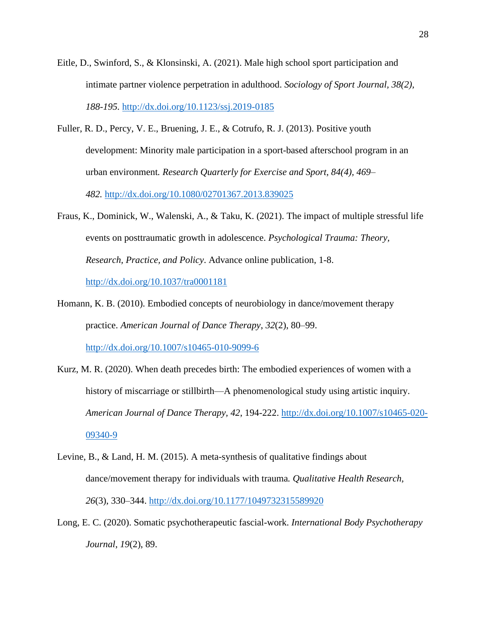- Eitle, D., Swinford, S., & Klonsinski, A. (2021). Male high school sport participation and intimate partner violence perpetration in adulthood. *Sociology of Sport Journal, 38(2), 188-195.* <http://dx.doi.org/10.1123/ssj.2019-0185>
- Fuller, R. D., Percy, V. E., Bruening, J. E., & Cotrufo, R. J. (2013). Positive youth development: Minority male participation in a sport-based afterschool program in an urban environment*. Research Quarterly for Exercise and Sport, 84(4), 469– 482.* <http://dx.doi.org/10.1080/02701367.2013.839025>
- Fraus, K., Dominick, W., Walenski, A., & Taku, K. (2021). The impact of multiple stressful life events on posttraumatic growth in adolescence. *Psychological Trauma: Theory, Research, Practice, and Policy*. Advance online publication, 1-8. <http://dx.doi.org/10.1037/tra0001181>
- Homann, K. B. (2010). Embodied concepts of neurobiology in dance/movement therapy practice. *American Journal of Dance Therapy*, *32*(2), 80–99. <http://dx.doi.org/10.1007/s10465-010-9099-6>
- Kurz, M. R. (2020). When death precedes birth: The embodied experiences of women with a history of miscarriage or stillbirth—A phenomenological study using artistic inquiry. *American Journal of Dance Therapy, 42*, 194-222. [http://dx.doi.org/10.1007/s10465-020-](http://dx.doi.org/10.1007/s10465-020-09340-9) [09340-9](http://dx.doi.org/10.1007/s10465-020-09340-9)
- Levine, B., & Land, H. M. (2015). A meta-synthesis of qualitative findings about dance/movement therapy for individuals with trauma*. Qualitative Health Research, 26*(3), 330–344. <http://dx.doi.org/10.1177/1049732315589920>
- Long, E. C. (2020). Somatic psychotherapeutic fascial-work. *International Body Psychotherapy Journal*, *19*(2), 89.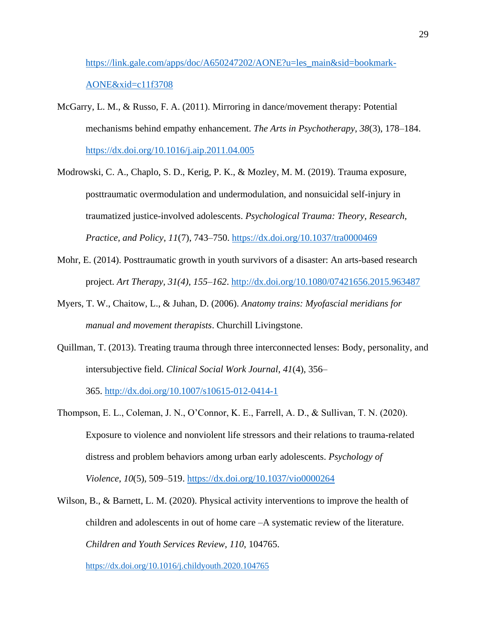# [https://link.gale.com/apps/doc/A650247202/AONE?u=les\\_main&sid=bookmark-](https://link.gale.com/apps/doc/A650247202/AONE?u=les_main&sid=bookmark-AONE&xid=c11f3708)[AONE&xid=c11f3708](https://link.gale.com/apps/doc/A650247202/AONE?u=les_main&sid=bookmark-AONE&xid=c11f3708)

- McGarry, L. M., & Russo, F. A. (2011). Mirroring in dance/movement therapy: Potential mechanisms behind empathy enhancement. *The Arts in Psychotherapy*, *38*(3), 178–184. <https://dx.doi.org/10.1016/j.aip.2011.04.005>
- Modrowski, C. A., Chaplo, S. D., Kerig, P. K., & Mozley, M. M. (2019). Trauma exposure, posttraumatic overmodulation and undermodulation, and nonsuicidal self-injury in traumatized justice-involved adolescents. *Psychological Trauma: Theory, Research, Practice, and Policy*, *11*(7), 743–750. <https://dx.doi.org/10.1037/tra0000469>
- Mohr, E. (2014). Posttraumatic growth in youth survivors of a disaster: An arts-based research project. *Art Therapy, 31(4), 155–162*.<http://dx.doi.org/10.1080/07421656.2015.963487>
- Myers, T. W., Chaitow, L., & Juhan, D. (2006). *Anatomy trains: Myofascial meridians for manual and movement therapists*. Churchill Livingstone.
- Quillman, T. (2013). Treating trauma through three interconnected lenses: Body, personality, and intersubjective field. *Clinical Social Work Journal*, *41*(4), 356–

365. <http://dx.doi.org/10.1007/s10615-012-0414-1>

- Thompson, E. L., Coleman, J. N., O'Connor, K. E., Farrell, A. D., & Sullivan, T. N. (2020). Exposure to violence and nonviolent life stressors and their relations to trauma-related distress and problem behaviors among urban early adolescents. *Psychology of Violence*, *10*(5), 509–519.<https://dx.doi.org/10.1037/vio0000264>
- Wilson, B., & Barnett, L. M. (2020). Physical activity interventions to improve the health of children and adolescents in out of home care –A systematic review of the literature. *Children and Youth Services Review*, *110*, 104765.

<https://dx.doi.org/10.1016/j.childyouth.2020.104765>